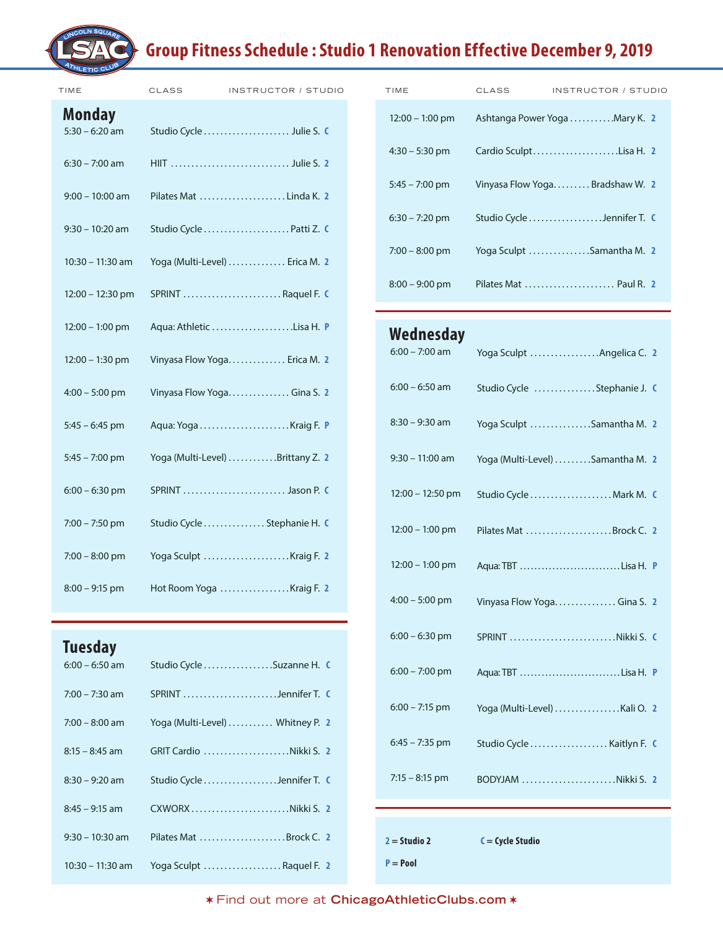## **Group Fitness Schedule : Studio 1 Renovation Effective December 9, 2019**

| TIME                              | CLASS | <b>INSTRUCTOR / STUDI</b>        |
|-----------------------------------|-------|----------------------------------|
| <b>Monday</b><br>$5:30 - 6:20$ am |       | Studio Cycle  Julie S. C         |
| $6:30 - 7:00$ am                  |       |                                  |
| $9:00 - 10:00$ am                 |       | Pilates Mat Linda K. 2           |
| $9:30 - 10:20$ am                 |       | Studio Cycle  Patti Z. C         |
| 10:30 - 11:30 am                  |       | Yoga (Multi-Level)  Erica M. 2   |
| $12:00 - 12:30$ pm                |       | SPRINT Raquel F. C               |
| $12:00 - 1:00$ pm                 |       | Aqua: Athletic Lisa H. P         |
| 12:00 - 1:30 pm                   |       | Vinyasa Flow Yoga Erica M. 2     |
| $4:00 - 5:00$ pm                  |       | Vinyasa Flow Yoga Gina S. 2      |
| $5:45 - 6:45$ pm                  |       |                                  |
| $5:45 - 7:00$ pm                  |       | Yoga (Multi-Level) Brittany Z. 2 |
| $6:00 - 6:30$ pm                  |       | SPRINT  Jason P. C               |
| $7:00 - 7:50$ pm                  |       | Studio Cycle  Stephanie H. C     |
| $7:00 - 8:00$ pm                  |       | Yoga Sculpt Kraig F. 2           |
| $8:00 - 9:15$ pm                  |       | Hot Room Yoga Kraig F. 2         |
|                                   |       |                                  |

### **Tuesday**

|                  | $6:00 - 6:50$ am Studio Cycle Suzanne H.          |  |
|------------------|---------------------------------------------------|--|
|                  | 7:00 – 7:30 am SPRINT Jennifer T. C               |  |
|                  | $7:00 - 8:00$ am Yoga (Multi-Level)  Whitney P. 2 |  |
|                  |                                                   |  |
| $8:30 - 9:20$ am | Studio Cycle Jennifer T. C                        |  |
|                  | 8:45 - 9:15 am CXWORX Nikki S. 2                  |  |
|                  | 9:30 - 10:30 am Pilates Mat  Brock C. 2           |  |
|                  | 10:30 - 11:30 am Yoga Sculpt  Raquel F. 2         |  |

| TIME                              | <b>CLASS</b> | INSTRUCTOR / STUDIO            | TIME              | <b>CLASS</b> | INSTRUCTOR / STUDIO            |
|-----------------------------------|--------------|--------------------------------|-------------------|--------------|--------------------------------|
| <b>Monday</b><br>$5:30 - 6:20$ am |              | Studio Cycle  Julie S. C       | $12:00 - 1:00$ pm |              | Ashtanga Power Yoga Mary K. 2  |
| $6:30 - 7:00$ am                  |              | HIIT  Julie S. 2               | $4:30 - 5:30$ pm  |              | Cardio SculptLisa H. 2         |
| $9:00 - 10:00$ am                 |              | Pilates Mat Linda K. 2         | $5:45 - 7:00$ pm  |              | Vinyasa Flow YogaBradshaw W. 2 |
| $9:30 - 10:20$ am                 |              | Studio Cycle Patti Z. C        | $6:30 - 7:20$ pm  |              | Studio Cycle Jennifer T. C     |
| $10:30 - 11:30$ am                |              | Yoga (Multi-Level)  Erica M. 2 | $7:00 - 8:00$ pm  |              | Yoga Sculpt Samantha M. 2      |
| $12:00 - 12:30$ pm                |              | $SPRINT$ Raquel F. C.          | $8:00 - 9:00$ pm  |              | Pilates Mat  Paul R. 2         |

#### 6:00 – 7:00 am 6:00 – 6:50 am 8:30 – 9:30 am 9:30 – 11:00 am 12:00 – 12:50 pm 12:00 – 1:00 pm 12:00 – 1:00 pm 4:00 – 5:00 pm 6:00 – 6:30 pm 6:00 – 7:00 pm 6:00 – 7:15 pm 6:45 – 7:35 pm 7:15 – 8:15 pm Yoga Sculpt . . . . . . . . . . . . . . . . Angelica C. **2** Studio Cycle . . . . . . . . . . . . . . Stephanie J. **C** Yoga Sculpt . . . . . . . . . . . . . . Samantha M. **2** Yoga (Multi-Level) . . . . . . . . Samantha M. **2** Studio Cycle . . . . . . . . . . . . . . . . . . . Mark M. **C** Pilates Mat . . . . . . . . . . . . . . . . . . . . Brock C. **2** Aqua: TBT . . . . . . . . . . . . . . . . . . . . . . . . . . . . Lisa H. **P** Vinyasa Flow Yoga . . . . . . . . . . . . . . . Gina S. **2** SPRINT . . . . . . . . . . . . . . . . . . . . . . . . . Nikki S. **C** Aqua: TBT . . . . . . . . . . . . . . . . . . . . . . . . . . . . Lisa H. **P** Yoga (Multi-Level) . . . . . . . . . . . . . . . .Kali O. **2** Studio Cycle . . . . . . . . . . . . . . . . . . . Kaitlyn F. **C** BODYJAM . . . . . . . . . . . . . . . . . . . . . . Nikki S. **2 Wednesday**

**2 = Studio 2**

**C = Cycle Studio**

**P = Pool**

Find out more at **ChicagoAthleticClubs.com**